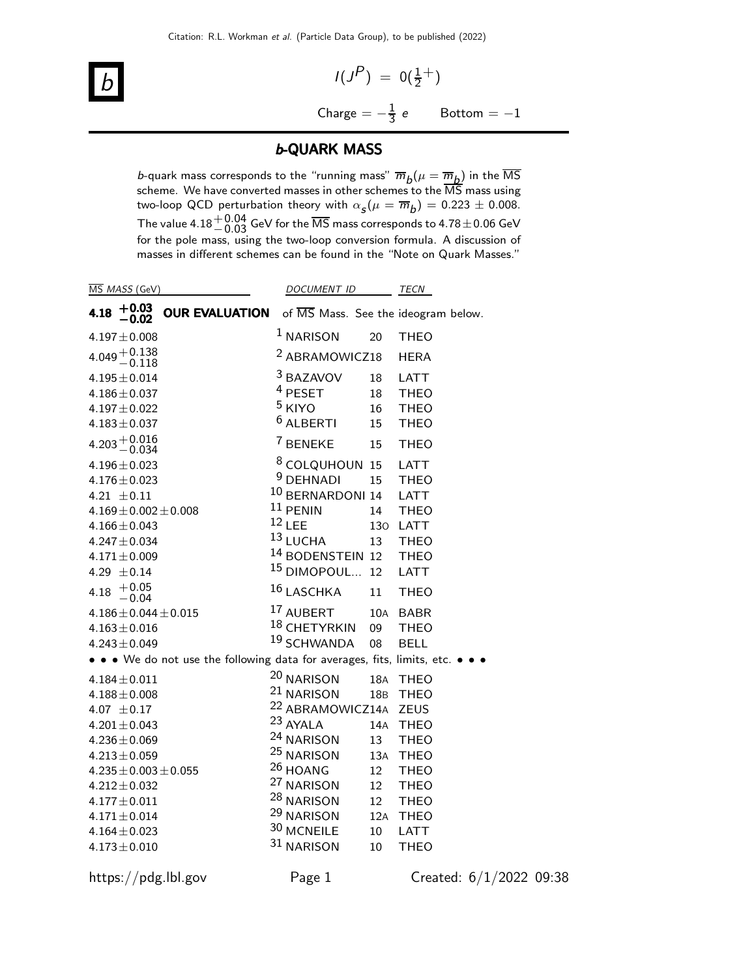$$
\boxed{b}
$$

 $I(J^P) = 0(\frac{1}{2}^+)$ Charge  $=-\frac{1}{3}$   $\text{Bottom} = -1$ 

## b-QUARK MASS

*b*-quark mass corresponds to the "running mass"  $\overline{m}_b(\mu = \overline{m}_b)$  in the MS scheme. We have converted masses in other schemes to the MS mass using two-loop QCD perturbation theory with  $\alpha_{\mathcal{S}}(\mu = \overline{m}_b) = 0.223 \pm 0.008$ . The value 4.18 $^{+0.04}_{-0.03}$  GeV for the  $\overline{\text{MS}}$  mass corresponds to 4.78 $\pm$ 0.06 GeV for the pole mass, using the two-loop conversion formula. A discussion of masses in different schemes can be found in the "Note on Quark Masses."

|      | MS MASS (GeV)                |                                                                         | <b>DOCUMENT ID</b>          |     | TECN                                |
|------|------------------------------|-------------------------------------------------------------------------|-----------------------------|-----|-------------------------------------|
| 4.18 | $+0.03$<br>- 0.02            | <b>OUR EVALUATION</b>                                                   |                             |     | of MS Mass. See the ideogram below. |
|      | $4.197 \pm 0.008$            |                                                                         | $1$ NARISON                 | 20  | <b>THEO</b>                         |
|      | $4.049 + 0.138$<br>$- 0.118$ |                                                                         | <sup>2</sup> ABRAMOWICZ18   |     | <b>HERA</b>                         |
|      | $4.195 \pm 0.014$            |                                                                         | 3 BAZAVOV                   | 18  | LATT                                |
|      | $4.186 \pm 0.037$            |                                                                         | <sup>4</sup> PESET          | 18  | <b>THEO</b>                         |
|      | $4.197 \pm 0.022$            |                                                                         | <sup>5</sup> KIYO           | 16  | <b>THEO</b>                         |
|      | $4.183 \pm 0.037$            |                                                                         | <sup>6</sup> ALBERTI        | 15  | <b>THEO</b>                         |
|      | $4.203 + 0.016$<br>-0.034    |                                                                         | <sup>7</sup> BENEKE         | 15  | <b>THEO</b>                         |
|      | $4.196 \pm 0.023$            |                                                                         | <sup>8</sup> COLQUHOUN 15   |     | LATT                                |
|      | $4.176 \pm 0.023$            |                                                                         | <sup>9</sup> DEHNADI        | 15  | <b>THEO</b>                         |
|      | 4.21 $\pm$ 0.11              |                                                                         | <sup>10</sup> BERNARDONI 14 |     | <b>LATT</b>                         |
|      | $4.169 \pm 0.002 \pm 0.008$  |                                                                         | $11$ PENIN                  | 14  | <b>THEO</b>                         |
|      | $4.166 \pm 0.043$            |                                                                         | $12$ LEE                    | 130 | <b>LATT</b>                         |
|      | $4.247 \pm 0.034$            |                                                                         | 13 LUCHA                    | 13  | <b>THEO</b>                         |
|      | $4.171 \pm 0.009$            |                                                                         | <sup>14</sup> BODENSTEIN 12 |     | <b>THEO</b>                         |
|      | 4.29 $\pm$ 0.14              |                                                                         | <sup>15</sup> DIMOPOUL      | 12  | LATT                                |
| 4.18 | $+0.05$<br>$-0.04$           |                                                                         | 16 LASCHKA                  | 11  | <b>THEO</b>                         |
|      | $4.186 \pm 0.044 \pm 0.015$  |                                                                         | 17 AUBERT                   | 10A | <b>BABR</b>                         |
|      | $4.163 \pm 0.016$            |                                                                         | <sup>18</sup> CHETYRKIN     | 09  | <b>THEO</b>                         |
|      | $4.243 \pm 0.049$            |                                                                         | <sup>19</sup> SCHWANDA      | 08  | <b>BELL</b>                         |
|      |                              | • • • We do not use the following data for averages, fits, limits, etc. |                             |     |                                     |
|      | $4.184 \pm 0.011$            |                                                                         | <sup>20</sup> NARISON       |     | 18A THEO                            |
|      | $4.188 \pm 0.008$            |                                                                         | <sup>21</sup> NARISON       | 18B | <b>THEO</b>                         |
|      | 4.07 $\pm$ 0.17              |                                                                         | <sup>22</sup> ABRAMOWICZ14A |     | <b>ZEUS</b>                         |
|      | $4.201 \pm 0.043$            |                                                                         | 23 AYALA                    | 14A | <b>THEO</b>                         |
|      | $4.236 \pm 0.069$            |                                                                         | <sup>24</sup> NARISON       | 13  | <b>THEO</b>                         |
|      | $4.213 \pm 0.059$            |                                                                         | <sup>25</sup> NARISON       | 13A | <b>THEO</b>                         |
|      | $4.235 \pm 0.003 \pm 0.055$  |                                                                         | <sup>26</sup> HOANG         | 12  | <b>THEO</b>                         |
|      | $4.212 \pm 0.032$            |                                                                         | <sup>27</sup> NARISON       | 12  | <b>THEO</b>                         |
|      | $4.177 \pm 0.011$            |                                                                         | <sup>28</sup> NARISON       | 12  | <b>THEO</b>                         |
|      | $4.171 \pm 0.014$            |                                                                         | <sup>29</sup> NARISON       | 12A | <b>THEO</b>                         |
|      | $4.164 \pm 0.023$            |                                                                         | 30 MCNEILE                  | 10  | LATT                                |
|      | $4.173 \pm 0.010$            |                                                                         | 31 NARISON                  | 10  | <b>THEO</b>                         |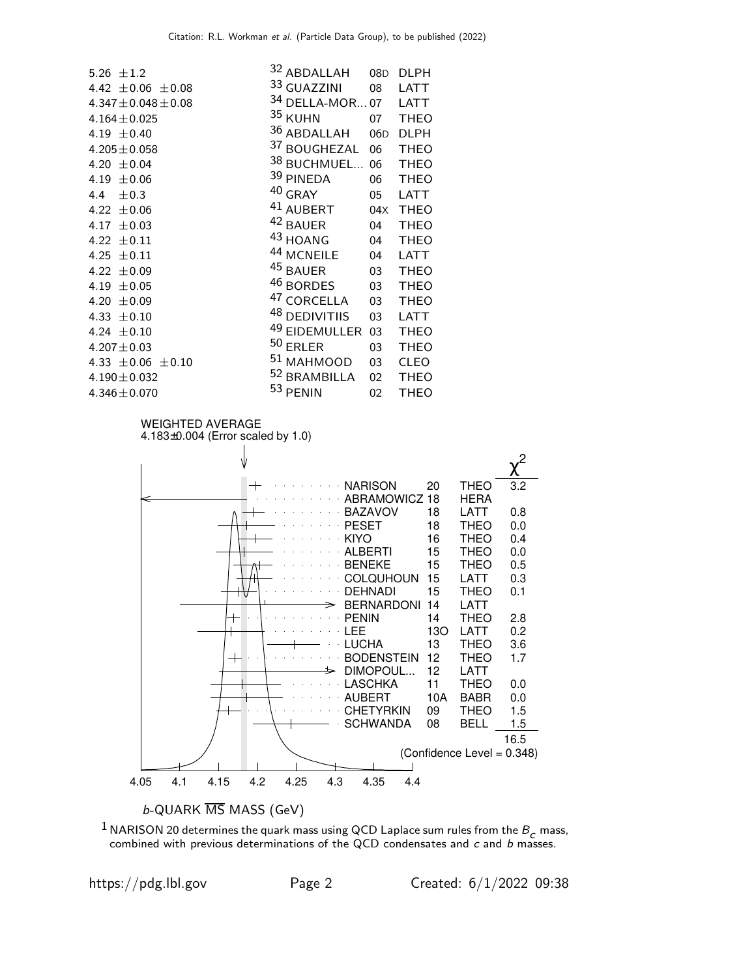

 $^1$  NARISON 20 determines the quark mass using QCD Laplace sum rules from the  $B_{\boldsymbol{c} }$  mass, combined with previous determinations of the QCD condensates and  $c$  and  $b$  masses.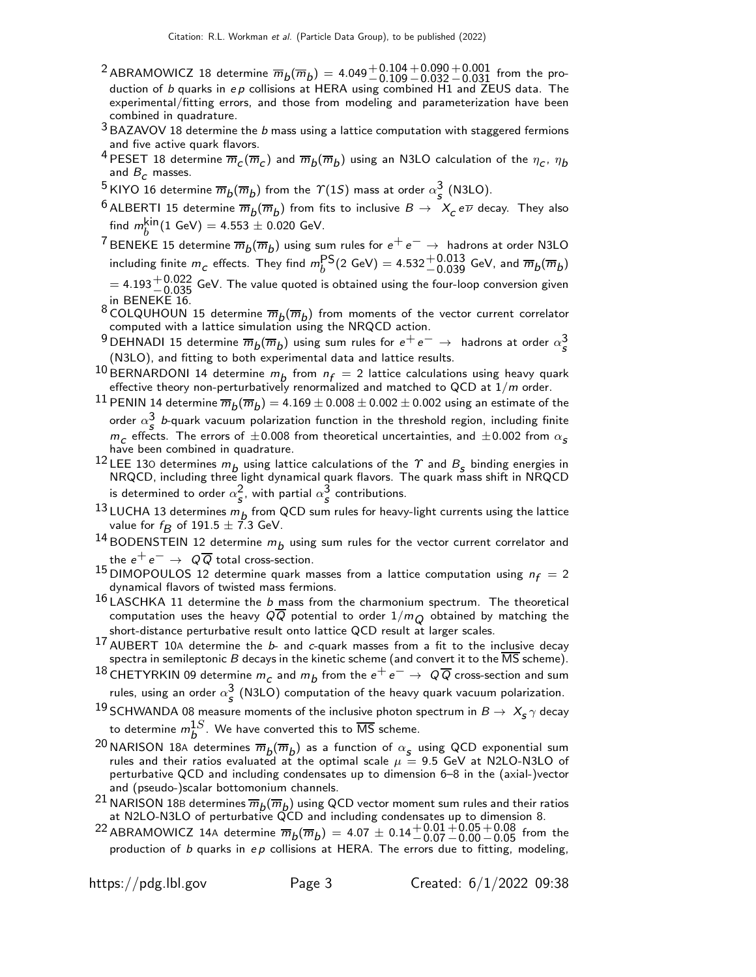- $^2$ ABRAMOWICZ 18 determine  $\overline{m}_b(\overline{m}_b) =$  4.049 $^+$ 0.104 $^+$ 0.090 $^+$ 0.001 from the production of  $b$  quarks in  $ep$  collisions at HERA using combined H1 and ZEUS data. The experimental/fitting errors, and those from modeling and parameterization have been combined in quadrature.
- $3$  BAZAVOV 18 determine the  $b$  mass using a lattice computation with staggered fermions and five active quark flavors.
- $^4$  PESET 18 determine  $\overline{m}_C(\overline{m}_C)$  and  $\overline{m}_b(\overline{m}_b)$  using an N3LO calculation of the  $\eta_C^{}$ ,  $\eta_b^{}$ and  $B<sub>c</sub>$  masses.
- $^5$ KIYO 16 determine  $\overline{m}_b(\overline{m}_b)$  from the  $\Upsilon(1S)$  mass at order  $\alpha_s^3$  (N3LO).
- $^6$  ALBERTI 15 determine  $\overline{m}_b(\overline{m}_b)$  from fits to inclusive  $B\to -X_c$  e $\overline{\nu}$  decay. They also find  $m_h^{\text{kin}}(1 \text{ GeV}) = 4.553 \pm 0.020 \text{ GeV}.$
- Find  $m_b$  (1 dev) = 4.333  $\pm$  0.020 dev.<br>
7 BENEKE 15 determine  $\overline{m}_b(\overline{m}_b)$  using sum rules for  $e^+e^- \rightarrow$  hadrons at order N3LO including finite  $m_c$  effects. They find  $m_b^{\text{PS}}(2 \text{ GeV}) = 4.532^{+0.013}_{-0.039}$  GeV, and  $\overline{m}_b(\overline{m}_b)$
- $= 4.193^{+0.022}_{-0.035}$  GeV. The value quoted is obtained using the four-loop conversion given in BENEKE 16.
- 8 COLQUHOUN 15 determine  $\overline{m}_b(\overline{m}_b)$  from moments of the vector current correlator computed with a lattice simulation using the NRQCD action.
- 9 DEHNADI 15 determine  $\overline{m}_b(\overline{m}_b)$  using sum rules for  $e^+e^- \rightarrow$  hadrons at order  $\alpha_s^3$ (N3LO), and fitting to both experimental data and lattice results.
- <sup>10</sup> BERNARDONI 14 determine  $m_b$  from  $n_f = 2$  lattice calculations using heavy quark effective theory non-perturbatively renormalized and matched to QCD at  $1/m$  order.
- $^{11}$  PENIN 14 determine  $\overline{m}_b(\overline{m}_b)=$  4.169  $\pm$  0.008  $\pm$  0.002  $\pm$  0.002 using an estimate of the order  $\alpha_s^3$  b-quark vacuum polarization function in the threshold region, including finite  $m_c$  effects. The errors of  $\pm 0.008$  from theoretical uncertainties, and  $\pm 0.002$  from  $\alpha_s$ have been combined in quadrature.
- <sup>12</sup> LEE 130 determines  $m_b$  using lattice calculations of the  $\gamma$  and  $B_s$  binding energies in NRQCD, including three light dynamical quark flavors. The quark mass shift in NRQCD is determined to order  $\alpha_{\scriptstyle\mathcal{S}}^2$ , with partial  $\alpha_{\scriptstyle\mathcal{S}}^3$  contributions.
- <sup>13</sup> LUCHA 13 determines  $m_b$  from QCD sum rules for heavy-light currents using the lattice value for  $f_B$  of 191.5  $\pm$  7.3 GeV.
- $^{14}$ BODENSTEIN 12 determine  $m_b$  using sum rules for the vector current correlator and the  $e^+e^- \rightarrow Q\overline{Q}$  total cross-section.
- 15 DIMOPOULOS 12 determine quark masses from a lattice computation using  $n_f = 2$ dynamical flavors of twisted mass fermions.
- $16$  LASCHKA 11 determine the *b* mass from the charmonium spectrum. The theoretical computation uses the heavy  $Q\overline{Q}$  potential to order  $1/m_{\overline{Q}}$  obtained by matching the short-distance perturbative result onto lattice QCD result at larger scales.
- 17 AUBERT 10A determine the *b* and *c*-quark masses from a fit to the inclusive decay spectra in semileptonic B decays in the kinetic scheme (and convert it to the  $\overline{\text{MS}}$  scheme).
- 18 CHETYRKIN 09 determine  $m_c$  and  $m_b$  from the  $e^+e^-\rightarrow Q\overline{Q}$  cross-section and sum rules, using an order  $\alpha_{\scriptstyle\mathcal{S}}^3$  (N3LO) computation of the heavy quark vacuum polarization.
- 19 SCHWANDA 08 measure moments of the inclusive photon spectrum in  $B \to X_s \gamma$  decay to determine  $m_b^{1S}$ . We have converted this to  $\overline{\text{MS}}$  scheme.
- <sup>20</sup> NARISON 18A determines  $\overline{m}_b(\overline{m}_b)$  as a function of  $\alpha_s$  using QCD exponential sum rules and their ratios evaluated at the optimal scale  $\mu = 9.5$  GeV at N2LO-N3LO of perturbative QCD and including condensates up to dimension 6–8 in the (axial-)vector and (pseudo-)scalar bottomonium channels.
- <sup>21</sup> NARISON 18B determines  $\overline{m}_b(\overline{m}_b)$  using QCD vector moment sum rules and their ratios at N2LO-N3LO of perturbative QCD and including condensates up to dimension 8.
- $^{22}$  ABRAMOWICZ 14A determine  $\overline{m}_b(\overline{m}_b) = 4.07 \pm 0.14 {+0.01 +0.05 +0.08 \atop -0.07 -0.00 -0.05}$  from the production of  $b$  quarks in  $ep$  collisions at HERA. The errors due to fitting, modeling,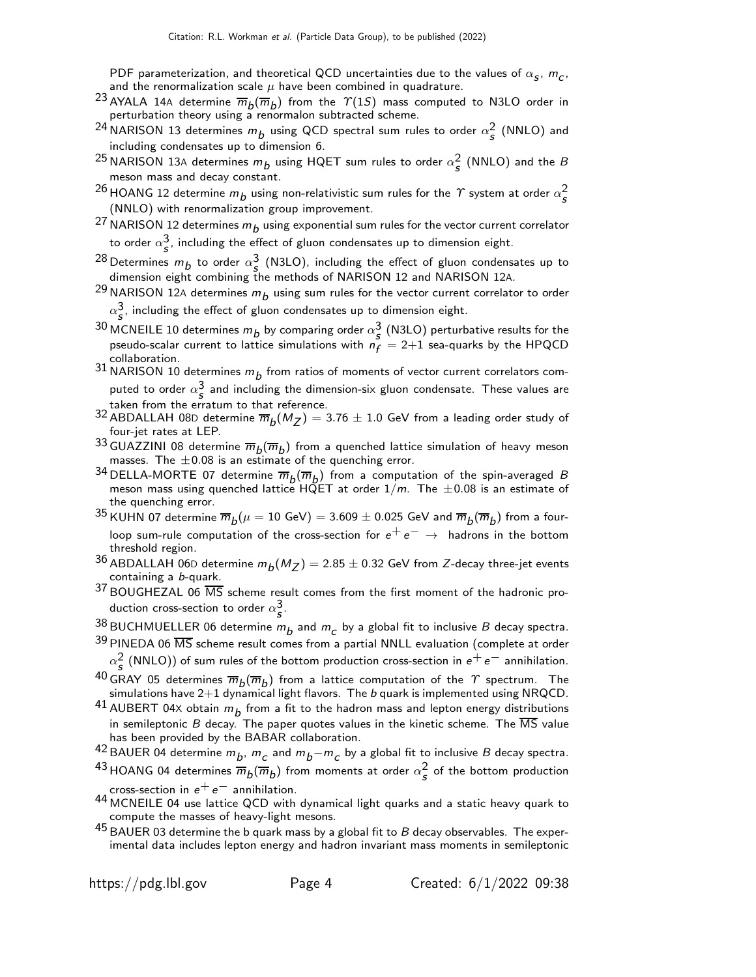PDF parameterization, and theoretical QCD uncertainties due to the values of  $\alpha_{\sf s}, m_{\sf c},$ and the renormalization scale  $\mu$  have been combined in quadrature.

- $^{23}$  AYALA 14A determine  $\overline{m}_b(\overline{m}_b)$  from the  $\varUpsilon(1S)$  mass computed to N3LO order in perturbation theory using a renormalon subtracted scheme.
- <sup>24</sup> NARISON 13 determines  $m_b$  using QCD spectral sum rules to order  $\alpha_s^2$  (NNLO) and including condensates up to dimension 6.
- $^{25}$ NARISON 13A determines  $m_b$  using HQET sum rules to order  $\alpha_{\scriptstyle{\mathcal{S}}}^2$  (NNLO) and the  $B$ meson mass and decay constant.
- <sup>26</sup> HOANG 12 determine  $m_b$  using non-relativistic sum rules for the  $\varUpsilon$  system at order  $\alpha_{\bm{s}}^2$ (NNLO) with renormalization group improvement.
- <sup>27</sup> NARISON 12 determines  $m_{b}$  using exponential sum rules for the vector current correlator to order  $\alpha_{\sf s}^{\sf 3}$ , including the effect of gluon condensates up to dimension eight.
- <sup>28</sup> Determines  $m_b$  to order  $\alpha_s^3$  (N3LO), including the effect of gluon condensates up to dimension eight combining the methods of NARISON 12 and NARISON 12A.
- <sup>29</sup> NARISON 12A determines  $m_b$  using sum rules for the vector current correlator to order  $\alpha_{\mathcal{S}}^3$ , including the effect of gluon condensates up to dimension eight.
- <sup>30</sup> MCNEILE 10 determines  $m_b$  by comparing order  $\alpha_s^3$  (N3LO) perturbative results for the pseudo-scalar current to lattice simulations with  $n_f = 2+1$  sea-quarks by the HPQCD collaboration.
- $^{31}$  NARISON 10 determines  $m_b$  from ratios of moments of vector current correlators computed to order  $\alpha_s^3$  and including the dimension-six gluon condensate. These values are taken from the erratum to that reference.
- <sup>32</sup> ABDALLAH 08D determine  $\overline{m}_b(M_Z) = 3.76 \pm 1.0$  GeV from a leading order study of four-jet rates at LEP.
- <sup>33</sup> GUAZZINI 08 determine  $\overline{m}_b(\overline{m}_b)$  from a quenched lattice simulation of heavy meson masses. The  $\pm 0.08$  is an estimate of the quenching error.
- <sup>34</sup> DELLA-MORTE 07 determine  $\overline{m}_b(\overline{m}_b)$  from a computation of the spin-averaged B meson mass using quenched lattice HQET at order  $1/m$ . The  $\pm 0.08$  is an estimate of the quenching error.
- $^{35}$ KUHN 07 determine  $\overline{m}_b(\mu=10\,\,\text{GeV})=$   $3.609\pm0.025$  GeV and  $\overline{m}_b(\overline{m}_b)$  from a fourloop sum-rule computation of the cross-section for  $e^+e^- \rightarrow$  hadrons in the bottom threshold region.
- $^{36}$  ABDALLAH 06D determine  $m_b(M_Z^{})=$  2.85  $\pm$  0.32 GeV from  $Z$ -decay three-jet events containing a b-quark.
- $37$  BOUGHEZAL 06  $\overline{\text{MS}}$  scheme result comes from the first moment of the hadronic production cross-section to order  $\alpha_{\scriptstyle\mathcal{S}}^{\mathbf{3}}.$
- $\frac{38}{36}$ BUCHMUELLER 06 determine  $m_b$  and  $m_c$  by a global fit to inclusive  $B$  decay spectra.
- $39$  PINEDA 06  $\overline{\text{MS}}$  scheme result comes from a partial NNLL evaluation (complete at order  $\alpha_{\bm{s}}^2$  (NNLO)) of sum rules of the bottom production cross-section in  $e^+ \, e^-$  annihilation.
- $^{40}$  GRAY 05 determines  $\overline{m}_b(\overline{m}_b)$  from a lattice computation of the  $\gamma$  spectrum. The simulations have  $2+1$  dynamical light flavors. The b quark is implemented using NRQCD.
- $^{41}$  AUBERT 04X obtain  $m_b^{}$  from a fit to the hadron mass and lepton energy distributions in semileptonic  $B$  decay. The paper quotes values in the kinetic scheme. The  $\overline{\text{MS}}$  value has been provided by the BABAR collaboration.
- <sup>42</sup> BAUER 04 determine  $m_b$ ,  $m_c$  and  $m_b-m_c$  by a global fit to inclusive B decay spectra.
- $^{43}$ HOANG 04 determines  $\overline{m}_b(\overline{m}_b)$  from moments at order  $\alpha_{\bm{s}}^2$  of the bottom production cross-section in  $e^+e^-$  annihilation.
- 44 MCNEILE 04 use lattice QCD with dynamical light quarks and a static heavy quark to compute the masses of heavy-light mesons.
- $^{45}$  BAUER 03 determine the b quark mass by a global fit to B decay observables. The experimental data includes lepton energy and hadron invariant mass moments in semileptonic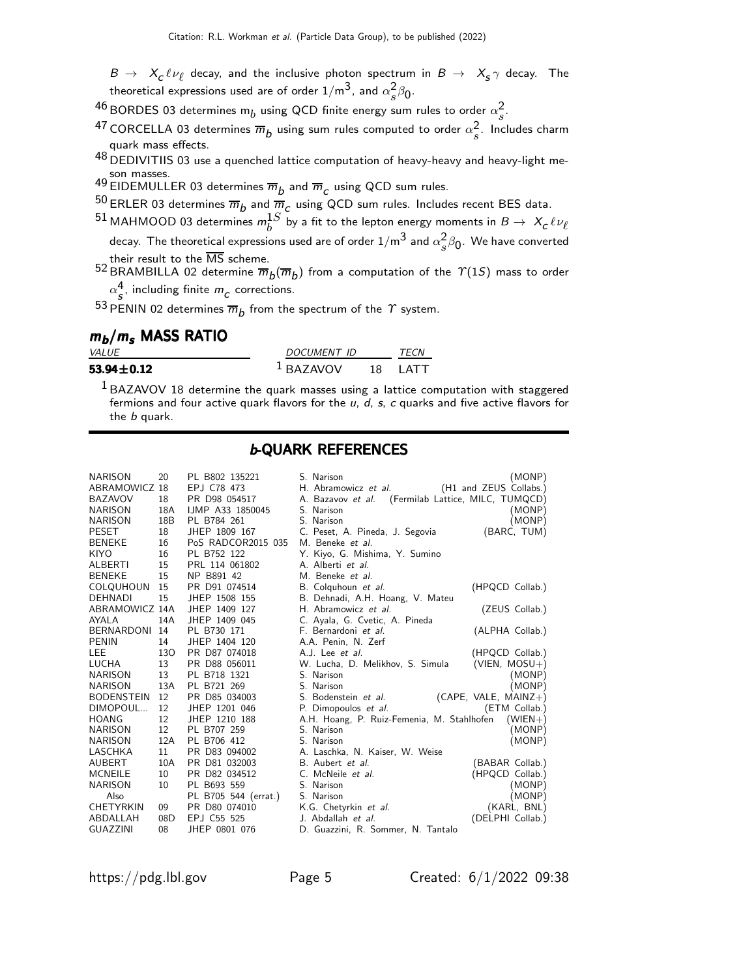- $B \to X_c \ell \nu_\ell$  decay, and the inclusive photon spectrum in  $B \to X_s \gamma$  decay. The theoretical expressions used are of order  $1/\mathsf{m}^{3}$ , and  $\alpha_{s}^{2}$  $\frac{2}{s}\beta_0$ .
- $^{46}$ BORDES 03 determines m $_b$  using QCD finite energy sum rules to order  $\alpha_s^2$  $\frac{z}{s}$ .
- $^{47}$  CORCELLA 03 determines  $\overline{m}_b$  using sum rules computed to order  $\alpha_s^2$  $\frac{2}{s}$ . Includes charm quark mass effects.
- 48 DEDIVITIIS 03 use a quenched lattice computation of heavy-heavy and heavy-light me-
- son masses.<br><sup>49</sup> EIDEMULLER 03 determines  $\overline{m}_b$  and  $\overline{m}_c$  using QCD sum rules.<br>-^
- $^{50}$  ERLER 03 determines  $\overline{m}_b$  and  $\overline{m}_c$  using QCD sum rules. Includes recent BES data.
- $^{51}$  MAHMOOD 03 determines  $m_b^{1S}$  by a fit to the lepton energy moments in  $B\to~X_{\cal C}\ell\nu_{\ell}$ decay. The theoretical expressions used are of order  $1/\mathsf{m}^{3}$  and  $\alpha_{s}^{2}$  $\frac{2}{s}\beta_0$ . We have converted
	- their result to the  $\overline{\text{MS}}$  scheme.
- $^{52}$ BRAMBILLA 02 determine  $\overline{m}_b(\overline{m}_b)$  from a computation of the  $\varUpsilon(1S)$  mass to order  $\alpha_{\mathcal{S}}^4$ , including finite  $m_{\mathcal{C}}$  corrections.

 $^{53}$  PENIN 02 determines  $\overline{m}_b$  from the spectrum of the  $\varUpsilon$  system.

## $m_b/m_s$  MASS RATIO

| <i>VALUE</i>     | DOCUMENT ID | <i>TFCN</i> |       |
|------------------|-------------|-------------|-------|
| $53.94 \pm 0.12$ | $1$ BAZAVOV | 18          | I ATT |

 $1$ BAZAVOV 18 determine the quark masses using a lattice computation with staggered fermions and four active quark flavors for the  $u$ ,  $d$ ,  $s$ ,  $c$  quarks and five active flavors for the b quark.

## b-QUARK REFERENCES

| NARISON        | 20   | PL B802 135221       | S. Narison                                         | (MONP)                 |
|----------------|------|----------------------|----------------------------------------------------|------------------------|
| ABRAMOWICZ 18  |      | EPJ C78 473          | H. Abramowicz et al. (H1 and ZEUS Collabs.)        |                        |
| BAZAVOV        | 18   | PR D98 054517        | A. Bazavov et al. (Fermilab Lattice, MILC, TUMQCD) |                        |
| NARISON        | 18A  | IJMP A33 1850045     | S. Narison                                         | (MONP)                 |
| NARISON        | 18B  | PL B784 261          | S. Narison                                         | (MONP)                 |
| PESET          | 18   | JHEP 1809 167        | C. Peset, A. Pineda, J. Segovia                    | (BARC, TUM)            |
| BENEKE         | 16   | PoS RADCOR2015 035   | M. Beneke et al.                                   |                        |
| KIYO           | 16   | PL B752 122          | Y. Kiyo, G. Mishima, Y. Sumino                     |                        |
| ALBERTI        | 15   | PRL 114 061802       | A. Alberti <i>et al.</i>                           |                        |
| BENEKE         | 15   | NP B891 42           | M. Beneke et al.                                   |                        |
| COLQUHOUN      | 15   | PR D91 074514        | B. Colquhoun et al.                                | (HPQCD Collab.)        |
| DEHNADI        | 15   | JHEP 1508 155        | B. Dehnadi, A.H. Hoang, V. Mateu                   |                        |
| ABRAMOWICZ 14A |      | JHEP 1409 127        | H. Abramowicz et al.                               | (ZEUS Collab.)         |
| AYALA          | 14A  | JHEP 1409 045        | C. Ayala, G. Cvetic, A. Pineda                     |                        |
| BERNARDONI     | - 14 | PL B730 171          | F. Bernardoni et al.                               | (ALPHA Collab.)        |
| PENIN          | 14   | JHEP 1404 120        | A.A. Penin, N. Zerf                                |                        |
| LEE            | 130  | PR D87 074018        | A.J. Lee <i>et al.</i>                             | (HPQCD Collab.)        |
| LUCHA          | 13   | PR D88 056011        | W. Lucha, D. Melikhov, S. Simula                   | $(VIEN, MOSU+)$        |
| NARISON        | 13   | PL B718 1321         | S. Narison                                         | (MONP)                 |
| NARISON        | 13A  | PL B721 269          | S. Narison                                         | (MONP)                 |
| BODENSTEIN     | 12   | PR D85 034003        | S. Bodenstein et al.                               | $(CAPE, VALE, MAINZ+)$ |
| DIMOPOUL       | 12   | JHEP 1201 046        | P. Dimopoulos et al.                               | (ETM Collab.)          |
| HOANG          | 12   | JHEP 1210 188        | A.H. Hoang, P. Ruiz-Femenia, M. Stahlhofen         | $(WIEN+)$              |
| NARISON        | 12   | PL B707 259          | S. Narison                                         | (MONP)                 |
| NARISON        | 12A  | PL B706 412          | S. Narison                                         | (MONP)                 |
| LASCHKA        | 11   | PR D83 094002        | A. Laschka, N. Kaiser, W. Weise                    |                        |
| AUBERT         | 10A  | PR D81 032003        | B. Aubert et al.                                   | (BABAR Collab.)        |
| MCNEILE        | 10   | PR D82 034512        | C. McNeile et al.                                  | (HPQCD Collab.)        |
| NARISON        | 10   | PL B693 559          | S. Narison                                         | (MONP)                 |
| Also           |      | PL B705 544 (errat.) | S. Narison                                         | (MONP)                 |
| CHETYRKIN      | 09   | PR D80 074010        | K.G. Chetyrkin et al.                              | (KARL, BNL)            |
| ABDALLAH       | 08D  | EPJ C55 525          | J. Abdallah et al.                                 | (DELPHI Collab.)       |
| GUAZZINI       | 08   | JHEP 0801 076        | D. Guazzini, R. Sommer, N. Tantalo                 |                        |